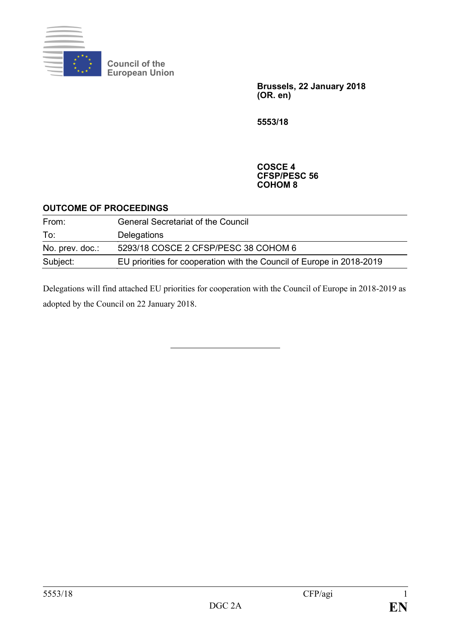

**Council of the European Union**

> **Brussels, 22 January 2018 (OR. en)**

**5553/18**

#### **COSCE 4 CFSP/PESC 56 COHOM 8**

#### **OUTCOME OF PROCEEDINGS**

| From:           | <b>General Secretariat of the Council</b>                             |
|-----------------|-----------------------------------------------------------------------|
| To:             | Delegations                                                           |
| No. prev. doc.: | 5293/18 COSCE 2 CFSP/PESC 38 COHOM 6                                  |
| Subject:        | EU priorities for cooperation with the Council of Europe in 2018-2019 |

Delegations will find attached EU priorities for cooperation with the Council of Europe in 2018-2019 as adopted by the Council on 22 January 2018.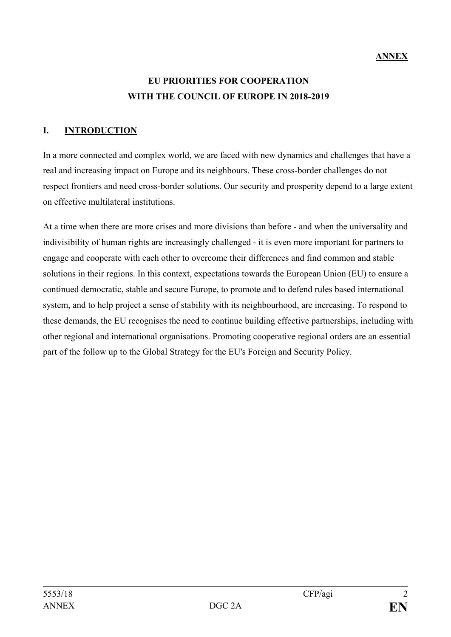## **ANNEX**

# **EU PRIORITIES FOR COOPERATION WITH THE COUNCIL OF EUROPE IN 2018-2019**

## **I. INTRODUCTION**

In a more connected and complex world, we are faced with new dynamics and challenges that have a real and increasing impact on Europe and its neighbours. These cross-border challenges do not respect frontiers and need cross-border solutions. Our security and prosperity depend to a large extent on effective multilateral institutions.

At a time when there are more crises and more divisions than before - and when the universality and indivisibility of human rights are increasingly challenged - it is even more important for partners to engage and cooperate with each other to overcome their differences and find common and stable solutions in their regions. In this context, expectations towards the European Union (EU) to ensure a continued democratic, stable and secure Europe, to promote and to defend rules based international system, and to help project a sense of stability with its neighbourhood, are increasing. To respond to these demands, the EU recognises the need to continue building effective partnerships, including with other regional and international organisations. Promoting cooperative regional orders are an essential part of the follow up to the Global Strategy for the EU's Foreign and Security Policy.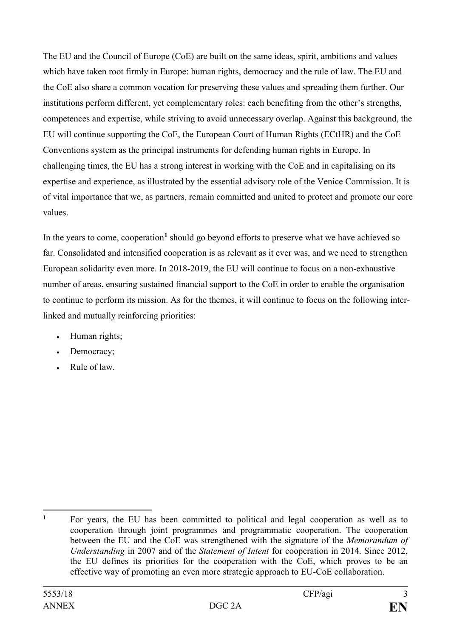The EU and the Council of Europe (CoE) are built on the same ideas, spirit, ambitions and values which have taken root firmly in Europe: human rights, democracy and the rule of law. The EU and the CoE also share a common vocation for preserving these values and spreading them further. Our institutions perform different, yet complementary roles: each benefiting from the other's strengths, competences and expertise, while striving to avoid unnecessary overlap. Against this background, the EU will continue supporting the CoE, the European Court of Human Rights (ECtHR) and the CoE Conventions system as the principal instruments for defending human rights in Europe. In challenging times, the EU has a strong interest in working with the CoE and in capitalising on its expertise and experience, as illustrated by the essential advisory role of the Venice Commission. It is of vital importance that we, as partners, remain committed and united to protect and promote our core values.

In the years to come, cooperation**[1](#page-2-0)** should go beyond efforts to preserve what we have achieved so far. Consolidated and intensified cooperation is as relevant as it ever was, and we need to strengthen European solidarity even more. In 2018-2019, the EU will continue to focus on a non-exhaustive number of areas, ensuring sustained financial support to the CoE in order to enable the organisation to continue to perform its mission. As for the themes, it will continue to focus on the following interlinked and mutually reinforcing priorities:

- Human rights;
- Democracy;
- Rule of law.

<span id="page-2-0"></span> $\mathbf{1}$ **<sup>1</sup>** For years, the EU has been committed to political and legal cooperation as well as to cooperation through joint programmes and programmatic cooperation. The cooperation between the EU and the CoE was strengthened with the signature of the *Memorandum of Understanding* in 2007 and of the *Statement of Intent* for cooperation in 2014. Since 2012, the EU defines its priorities for the cooperation with the CoE, which proves to be an effective way of promoting an even more strategic approach to EU-CoE collaboration.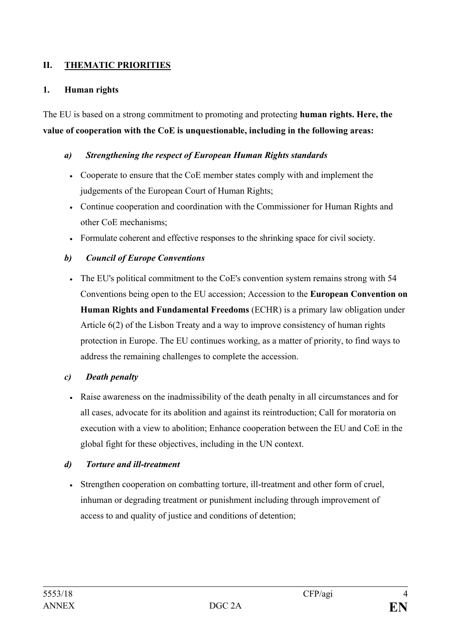## **II. THEMATIC PRIORITIES**

#### **1. Human rights**

The EU is based on a strong commitment to promoting and protecting **human rights. Here, the value of cooperation with the CoE is unquestionable, including in the following areas:**

#### *a) Strengthening the respect of European Human Rights standards*

- Cooperate to ensure that the CoE member states comply with and implement the judgements of the European Court of Human Rights;
- Continue cooperation and coordination with the Commissioner for Human Rights and other CoE mechanisms;
- Formulate coherent and effective responses to the shrinking space for civil society.

#### *b) Council of Europe Conventions*

• The EU's political commitment to the CoE's convention system remains strong with 54 Conventions being open to the EU accession; Accession to the **European Convention on Human Rights and Fundamental Freedoms** (ECHR) is a primary law obligation under Article 6(2) of the Lisbon Treaty and a way to improve consistency of human rights protection in Europe. The EU continues working, as a matter of priority, to find ways to address the remaining challenges to complete the accession.

#### *c) Death penalty*

• Raise awareness on the inadmissibility of the death penalty in all circumstances and for all cases, advocate for its abolition and against its reintroduction; Call for moratoria on execution with a view to abolition; Enhance cooperation between the EU and CoE in the global fight for these objectives, including in the UN context.

#### *d) Torture and ill-treatment*

• Strengthen cooperation on combatting torture, ill-treatment and other form of cruel, inhuman or degrading treatment or punishment including through improvement of access to and quality of justice and conditions of detention;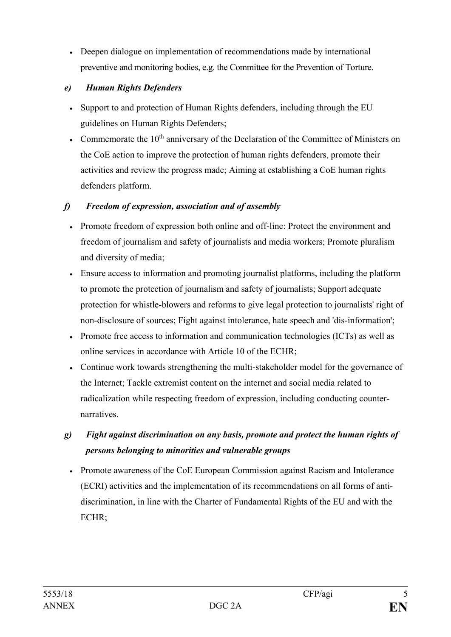• Deepen dialogue on implementation of recommendations made by international preventive and monitoring bodies, e.g. the Committee for the Prevention of Torture.

## *e) Human Rights Defenders*

- Support to and protection of Human Rights defenders, including through the EU guidelines on Human Rights Defenders;
- Commemorate the  $10<sup>th</sup>$  anniversary of the Declaration of the Committee of Ministers on the CoE action to improve the protection of human rights defenders, promote their activities and review the progress made; Aiming at establishing a CoE human rights defenders platform.

## *f) Freedom of expression, association and of assembly*

- Promote freedom of expression both online and off-line: Protect the environment and freedom of journalism and safety of journalists and media workers; Promote pluralism and diversity of media;
- Ensure access to information and promoting journalist platforms, including the platform to promote the protection of journalism and safety of journalists; Support adequate protection for whistle-blowers and reforms to give legal protection to journalists' right of non-disclosure of sources; Fight against intolerance, hate speech and 'dis-information';
- Promote free access to information and communication technologies (ICTs) as well as online services in accordance with Article 10 of the ECHR;
- Continue work towards strengthening the multi-stakeholder model for the governance of the Internet; Tackle extremist content on the internet and social media related to radicalization while respecting freedom of expression, including conducting counternarratives.
- *g) Fight against discrimination on any basis, promote and protect the human rights of persons belonging to minorities and vulnerable groups*
	- Promote awareness of the CoE European Commission against Racism and Intolerance [\(ECRI\)](http://www.coe.int/t/dghl/monitoring/ecri/default_en.asp) activities and the implementation of its recommendations on all forms of antidiscrimination, in line with the Charter of Fundamental Rights of the EU and with the ECHR;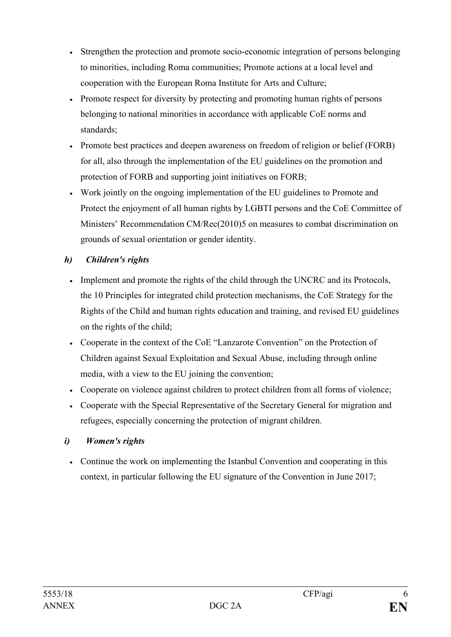- Strengthen the protection and promote socio-economic integration of persons belonging to minorities, including Roma communities; Promote actions at a local level and cooperation with the European Roma Institute for Arts and Culture;
- Promote respect for diversity by protecting and promoting human rights of persons belonging to national minorities in accordance with applicable CoE norms and standards;
- Promote best practices and deepen awareness on freedom of religion or belief (FORB) for all, also through the implementation of the EU guidelines on the promotion and protection of FORB and supporting joint initiatives on FORB;
- Work jointly on the ongoing implementation of the EU guidelines to Promote and Protect the enjoyment of all human rights by LGBTI persons and the CoE Committee of Ministers' Recommendation CM/Rec(2010)5 on measures to combat discrimination on grounds of sexual orientation or gender identity.

## *h) Children's rights*

- Implement and promote the rights of the child through the UNCRC and its Protocols, the 10 Principles for integrated child protection mechanisms, the CoE Strategy for the Rights of the Child and human rights education and training, and revised EU guidelines on the rights of the child;
- Cooperate in the context of the CoE "Lanzarote Convention" on the Protection of Children against Sexual Exploitation and Sexual Abuse, including through online media, with a view to the EU joining the convention;
- Cooperate on violence against children to protect children from all forms of violence;
- Cooperate with the Special Representative of the Secretary General for migration and refugees, especially concerning the protection of migrant children.

## *i) Women's rights*

• Continue the work on implementing the Istanbul Convention and cooperating in this context, in particular following the EU signature of the Convention in June 2017;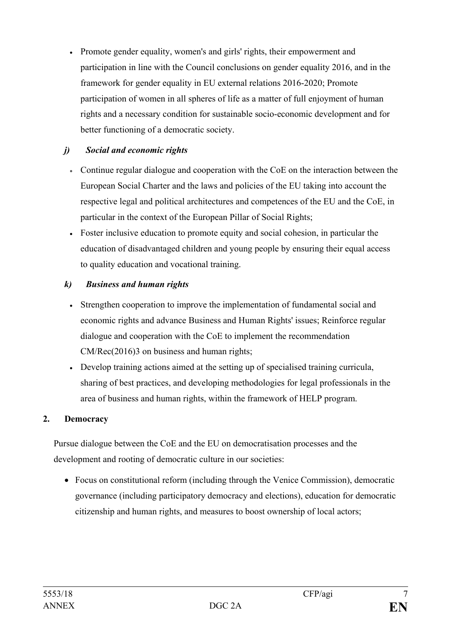• Promote gender equality, women's and girls' rights, their empowerment and participation in line with the Council conclusions on gender equality 2016, and in the framework for gender equality in EU external relations 2016-2020; Promote participation of women in all spheres of life as a matter of full enjoyment of human rights and a necessary condition for sustainable socio-economic development and for better functioning of a democratic society.

## *j) Social and economic rights*

- Continue regular dialogue and cooperation with the CoE on the interaction between the European Social Charter and the laws and policies of the EU taking into account the respective legal and political architectures and competences of the EU and the CoE, in particular in the context of the European Pillar of Social Rights;
- Foster inclusive education to promote equity and social cohesion, in particular the education of disadvantaged children and young people by ensuring their equal access to quality education and vocational training.

### *k) Business and human rights*

- Strengthen cooperation to improve the implementation of fundamental social and economic rights and advance Business and Human Rights' issues; Reinforce regular dialogue and cooperation with the CoE to implement the recommendation CM/Rec(2016)3 on business and human rights;
- Develop training actions aimed at the setting up of specialised training curricula, sharing of best practices, and developing methodologies for legal professionals in the area of business and human rights, within the framework of HELP program.

## **2. Democracy**

Pursue dialogue between the CoE and the EU on democratisation processes and the development and rooting of democratic culture in our societies:

• Focus on constitutional reform (including through the Venice Commission), democratic governance (including participatory democracy and elections), education for democratic citizenship and human rights, and measures to boost ownership of local actors;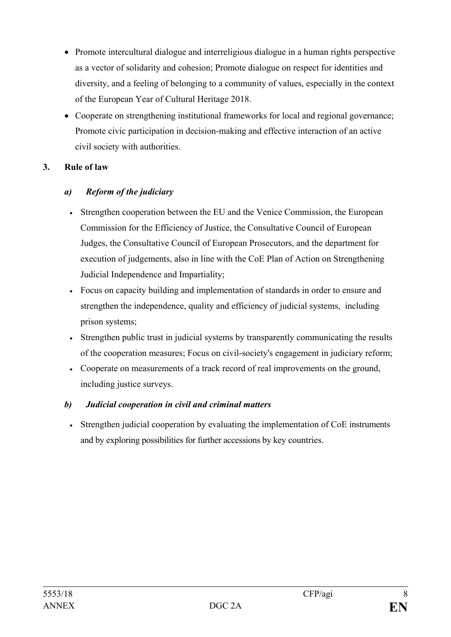- Promote intercultural dialogue and interreligious dialogue in a human rights perspective as a vector of solidarity and cohesion; Promote dialogue on respect for identities and diversity, and a feeling of belonging to a community of values, especially in the context of the European Year of Cultural Heritage 2018.
- Cooperate on strengthening institutional frameworks for local and regional governance; Promote civic participation in decision-making and effective interaction of an active civil society with authorities.

### **3. Rule of law**

#### *a) Reform of the judiciary*

- Strengthen cooperation between the EU and the Venice Commission, the European Commission for the Efficiency of Justice, the Consultative Council of European Judges, the Consultative Council of European Prosecutors, and the department for execution of judgements, also in line with the CoE Plan of Action on Strengthening Judicial Independence and Impartiality;
- Focus on capacity building and implementation of standards in order to ensure and strengthen the independence, quality and efficiency of judicial systems, including prison systems;
- Strengthen public trust in judicial systems by transparently communicating the results of the cooperation measures; Focus on civil-society's engagement in judiciary reform;
- Cooperate on measurements of a track record of real improvements on the ground, including justice surveys.

### *b) Judicial cooperation in civil and criminal matters*

• Strengthen judicial cooperation by evaluating the implementation of CoE instruments and by exploring possibilities for further accessions by key countries.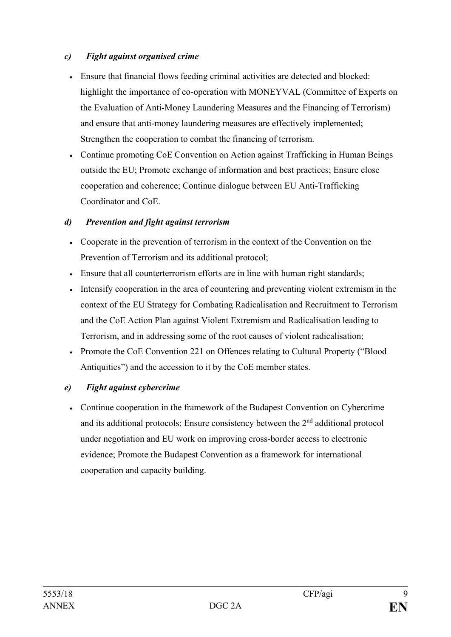#### *c) Fight against organised crime*

- Ensure that financial flows feeding criminal activities are detected and blocked: highlight the importance of co-operation with MONEYVAL (Committee of Experts on the Evaluation of Anti-Money Laundering Measures and the Financing of Terrorism) and ensure that anti-money laundering measures are effectively implemented; Strengthen the cooperation to combat the financing of terrorism.
- Continue promoting CoE Convention on Action against Trafficking in Human Beings outside the EU; Promote exchange of information and best practices; Ensure close cooperation and coherence; Continue dialogue between EU Anti-Trafficking Coordinator and CoE.

### *d) Prevention and fight against terrorism*

- Cooperate in the prevention of terrorism in the context of the Convention on the Prevention of Terrorism and its additional protocol;
- Ensure that all counterterrorism efforts are in line with human right standards;
- Intensify cooperation in the area of countering and preventing violent extremism in the context of the EU Strategy for Combating Radicalisation and Recruitment to Terrorism and the CoE Action Plan against Violent Extremism and Radicalisation leading to Terrorism, and in addressing some of the root causes of violent radicalisation;
- Promote the CoE Convention 221 on Offences relating to Cultural Property ("Blood" Antiquities") and the accession to it by the CoE member states.

### *e) Fight against cybercrime*

• Continue cooperation in the framework of the Budapest Convention on Cybercrime and its additional protocols; Ensure consistency between the 2nd additional protocol under negotiation and EU work on improving cross-border access to electronic evidence; Promote the Budapest Convention as a framework for international cooperation and capacity building.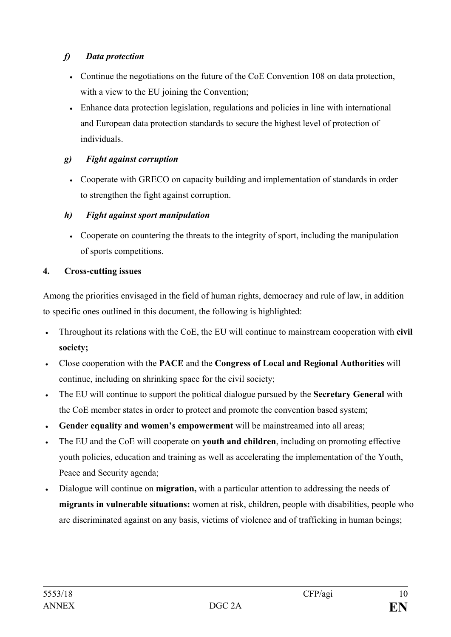## *f) Data protection*

- Continue the negotiations on the future of the CoE Convention 108 on data protection, with a view to the EU joining the Convention;
- Enhance data protection legislation, regulations and policies in line with international and European data protection standards to secure the highest level of protection of individuals.

## *g) Fight against corruption*

• Cooperate with GRECO on capacity building and implementation of standards in order to strengthen the fight against corruption.

# *h) Fight against sport manipulation*

• Cooperate on countering the threats to the integrity of sport, including the manipulation of sports competitions.

# **4. Cross-cutting issues**

Among the priorities envisaged in the field of human rights, democracy and rule of law, in addition to specific ones outlined in this document, the following is highlighted:

- Throughout its relations with the CoE, the EU will continue to mainstream cooperation with **civil society;**
- Close cooperation with the **PACE** and the **Congress of Local and Regional Authorities** will continue, including on shrinking space for the civil society;
- The EU will continue to support the political dialogue pursued by the **Secretary General** with the CoE member states in order to protect and promote the convention based system;
- **Gender equality and women's empowerment** will be mainstreamed into all areas;
- The EU and the CoE will cooperate on **youth and children**, including on promoting effective youth policies, education and training as well as accelerating the implementation of the Youth, Peace and Security agenda;
- Dialogue will continue on **migration,** with a particular attention to addressing the needs of **migrants in vulnerable situations:** women at risk, children, people with disabilities, people who are discriminated against on any basis, victims of violence and of trafficking in human beings;